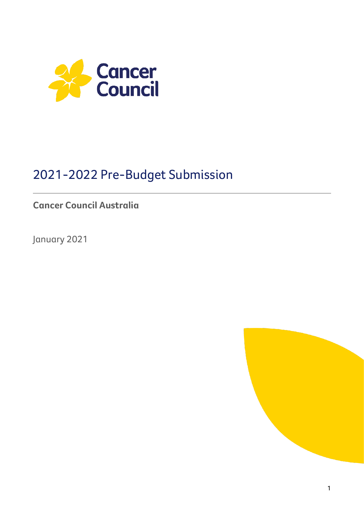

# 2021-2022 Pre-Budget Submission

## **Cancer Council Australia**

January 2021

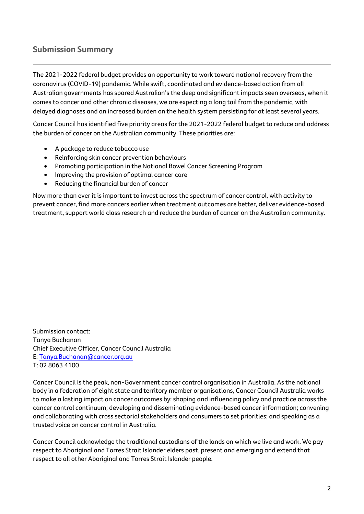## **Submission Summary**

The 2021-2022 federal budget provides an opportunity to work toward national recovery from the coronavirus (COVID-19) pandemic. While swift, coordinated and evidence-based action from all Australian governments has spared Australian's the deep and significant impacts seen overseas, when it comes to cancer and other chronic diseases, we are expecting a long tail from the pandemic, with delayed diagnoses and an increased burden on the health system persisting for at least several years.

Cancer Council has identified five priority areas for the 2021-2022 federal budget to reduce and address the burden of cancer on the Australian community. These priorities are:

- A package to reduce tobacco use
- Reinforcing skin cancer prevention behaviours
- Promoting participation in the National Bowel Cancer Screening Program
- Improving the provision of optimal cancer care
- Reducing the financial burden of cancer

Now more than ever it is important to invest across the spectrum of cancer control, with activity to prevent cancer, find more cancers earlier when treatment outcomes are better, deliver evidence-based treatment, support world class research and reduce the burden of cancer on the Australian community.

Submission contact: Tanya Buchanan Chief Executive Officer, Cancer Council Australia E[: Tanya.Buchanan@cancer.org.au](mailto:Tanya.Buchanan@cancer.org.au) T: 02 8063 4100

Cancer Council is the peak, non-Government cancer control organisation in Australia. As the national body in a federation of eight state and territory member organisations, Cancer Council Australia works to make a lasting impact on cancer outcomes by: shaping and influencing policy and practice across the cancer control continuum; developing and disseminating evidence-based cancer information; convening and collaborating with cross sectorial stakeholders and consumers to set priorities; and speaking as a trusted voice on cancer control in Australia.

Cancer Council acknowledge the traditional custodians of the lands on which we live and work. We pay respect to Aboriginal and Torres Strait Islander elders past, present and emerging and extend that respect to all other Aboriginal and Torres Strait Islander people.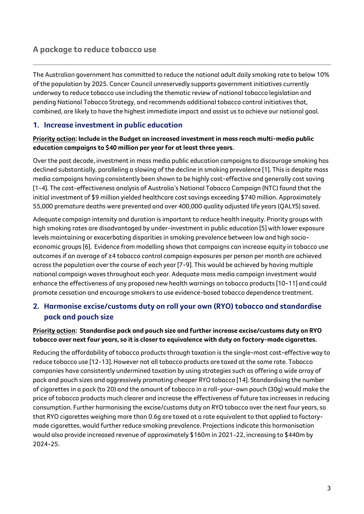## **A package to reduce tobacco use**

The Australian government has committed to reduce the national adult daily smoking rate to below 10% of the population by 2025. Cancer Council unreservedly supports government initiatives currently underway to reduce tobacco use including the thematic review of national tobacco legislation and pending National Tobacco Strategy, and recommends additional tobacco control initiatives that, combined, are likely to have the highest immediate impact and assist us to achieve our national goal.

#### **1. Increase investment in public education**

#### **Priority action: Include in the Budget an increased investment in mass reach multi-media public education campaigns to \$40 million per year for at least three years.**

Over the past decade, investment in mass media public education campaigns to discourage smoking has declined substantially, paralleling a slowing of the decline in smoking prevalence [1]. This is despite mass media campaigns having consistently been shown to be highly cost-effective and generally cost saving [1-4]. The cost-effectiveness analysis of Australia's National Tobacco Campaign (NTC) found that the initial investment of \$9 million yielded healthcare cost savings exceeding \$740 million. Approximately 55,000 premature deaths were prevented and over 400,000 quality adjusted life years (QALYS) saved.

Adequate campaign intensity and duration is important to reduce health inequity. Priority groups with high smoking rates are disadvantaged by under-investment in public education [5] with lower exposure levels maintaining or exacerbating disparities in smoking prevalence between low and high socioeconomic groups [6]. Evidence from modelling shows that campaigns can increase equity in tobacco use outcomes if an average of ≥4 tobacco control campaign exposures per person per month are achieved across the population over the course of each year [7-9]. This would be achieved by having multiple national campaign waves throughout each year. Adequate mass media campaign investment would enhance the effectiveness of any proposed new health warnings on tobacco products [10-11] and could promote cessation and encourage smokers to use evidence-based tobacco dependence treatment.

## **2. Harmonise excise/customs duty on roll your own (RYO) tobacco and standardise pack and pouch size**

#### **Priority action: Standardise pack and pouch size and further increase excise/customs duty on RYO tobacco over next four years, so it is closer to equivalence with duty on factory-made cigarettes.**

Reducing the affordability of tobacco products through taxation is the single-most cost-effective way to reduce tobacco use [12-13]. However not all tobacco products are taxed at the same rate. Tobacco companies have consistently undermined taxation by using strategies such as offering a wide array of pack and pouch sizes and aggressively promoting cheaper RYO tobacco [14]. Standardising the number of cigarettes in a pack (to 20) and the amount of tobacco in a roll-your-own pouch (30g) would make the price of tobacco products much clearer and increase the effectiveness of future tax increases in reducing consumption. Further harmonising the excise/customs duty on RYO tobacco over the next four years, so that RYO cigarettes weighing more than 0.6g are taxed at a rate equivalent to that applied to factorymade cigarettes, would further reduce smoking prevalence. Projections indicate this harmonisation would also provide increased revenue of approximately \$160m in 2021-22, increasing to \$440m by 2024-25.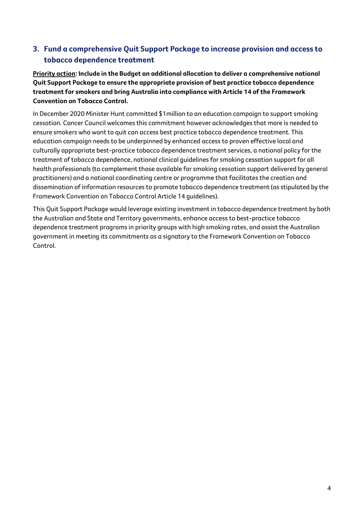## **3. Fund a comprehensive Quit Support Package to increase provision and access to tobacco dependence treatment**

**Priority action: Include in the Budget an additional allocation to deliver a comprehensive national Quit Support Package to ensure the appropriate provision of best practice tobacco dependence treatment for smokers and bring Australia into compliance with Article 14 of the Framework Convention on Tobacco Control.**

In December 2020 Minister Hunt committed \$1million to an education campaign to support smoking cessation. Cancer Council welcomes this commitment however acknowledges that more is needed to ensure smokers who want to quit can access best practice tobacco dependence treatment. This education campaign needs to be underpinned by enhanced access to proven effective local and culturally appropriate best-practice tobacco dependence treatment services, a national policy for the treatment of tobacco dependence, national clinical guidelines for smoking cessation support for all health professionals (to complement those available for smoking cessation support delivered by general practitioners) and a national coordinating centre or programme that facilitates the creation and dissemination of information resources to promote tobacco dependence treatment (as stipulated by the Framework Convention on Tobacco Control Article 14 guidelines).

This Quit Support Package would leverage existing investment in tobacco dependence treatment by both the Australian and State and Territory governments, enhance access to best-practice tobacco dependence treatment programs in priority groups with high smoking rates, and assist the Australian government in meeting its commitments as a signatory to the Framework Convention on Tobacco Control.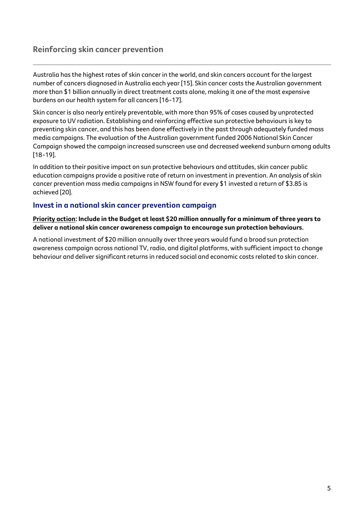## **Reinforcing skin cancer prevention**

Australia has the highest rates of skin cancer in the world, and skin cancers account for the largest number of cancers diagnosed in Australia each year [15]. Skin cancer costs the Australian government more than \$1 billion annually in direct treatment costs alone, making it one of the most expensive burdens on our health system for all cancers [16-17].

Skin cancer is also nearly entirely preventable, with more than 95% of cases caused by unprotected exposure to UV radiation. Establishing and reinforcing effective sun protective behaviours is key to preventing skin cancer, and this has been done effectively in the past through adequately funded mass media campaigns. The evaluation of the Australian government funded 2006 National Skin Cancer Campaign showed the campaign increased sunscreen use and decreased weekend sunburn among adults [18-19].

In addition to their positive impact on sun protective behaviours and attitudes, skin cancer public education campaigns provide a positive rate of return on investment in prevention. An analysis of skin cancer prevention mass media campaigns in NSW found for every \$1 invested a return of \$3.85 is achieved [20].

#### **Invest in a national skin cancer prevention campaign**

**Priority action: Include in the Budget at least \$20 million annually for a minimum of three years to deliver a national skin cancer awareness campaign to encourage sun protection behaviours.** 

A national investment of \$20 million annually over three years would fund a broad sun protection awareness campaign across national TV, radio, and digital platforms, with sufficient impact to change behaviour and deliver significant returns in reduced social and economic costs related to skin cancer.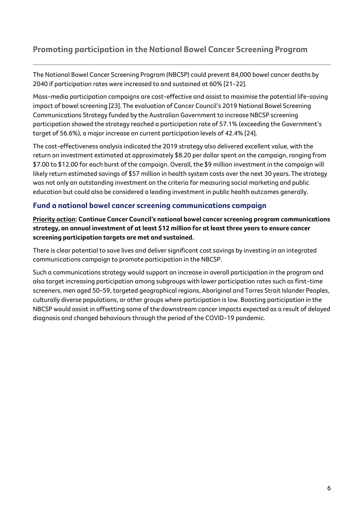## **Promoting participation in the National Bowel Cancer Screening Program**

The National Bowel Cancer Screening Program (NBCSP) could prevent 84,000 bowel cancer deaths by 2040 if participation rates were increased to and sustained at 60% [21-22].

Mass-media participation campaigns are cost-effective and assist to maximise the potential life-saving impact of bowel screening [23]. The evaluation of Cancer Council's 2019 National Bowel Screening Communications Strategy funded by the Australian Government to increase NBCSP screening participation showed the strategy reached a participation rate of 57.1% (exceeding the Government's target of 56.6%), a major increase on current participation levels of 42.4% [24].

The cost-effectiveness analysis indicated the 2019 strategy also delivered excellent value, with the return on investment estimated at approximately \$8.20 per dollar spent on the campaign, ranging from \$7.00 to \$12.00 for each burst of the campaign. Overall, the \$9 million investment in the campaign will likely return estimated savings of \$57 million in health system costs over the next 30 years. The strategy was not only an outstanding investment on the criteria for measuring social marketing and public education but could also be considered a leading investment in public health outcomes generally.

#### **Fund a national bowel cancer screening communications campaign**

**Priority action: Continue Cancer Council's national bowel cancer screening program communications strategy, an annual investment of at least \$12 million for at least three years to ensure cancer screening participation targets are met and sustained.** 

There is clear potential to save lives and deliver significant cost savings by investing in an integrated communications campaign to promote participation in the NBCSP.

Such a communications strategy would support an increase in overall participation in the program and also target increasing participation among subgroups with lower participation rates such as first-time screeners, men aged 50-59, targeted geographical regions, Aboriginal and Torres Strait Islander Peoples, culturally diverse populations, or other groups where participation is low. Boosting participation in the NBCSP would assist in offsetting some of the downstream cancer impacts expected as a result of delayed diagnosis and changed behaviours through the period of the COVID-19 pandemic.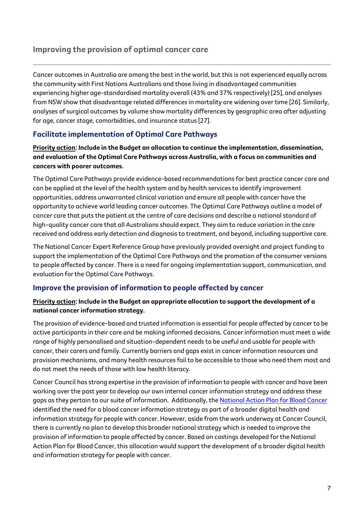## **Improving the provision of optimal cancer care**

Cancer outcomes in Australia are among the best in the world, but this is not experienced equally across the community with First Nations Australians and those living in disadvantaged communities experiencing higher age-standardised mortality overall (43% and 37% respectively) [25], and analyses from NSW show that disadvantage related differences in mortality are widening over time [26]. Similarly, analyses of surgical outcomes by volume show mortality differences by geographic area after adjusting for age, cancer stage, comorbidities, and insurance status [27].

## **Facilitate implementation of Optimal Care Pathways**

#### **Priority action: Include in the Budget an allocation to continue the implementation, dissemination, and evaluation of the Optimal Care Pathways across Australia, with a focus on communities and cancers with poorer outcomes.**

The Optimal Care Pathways provide evidence-based recommendations for best practice cancer care and can be applied at the level of the health system and by health services to identify improvement opportunities, address unwarranted clinical variation and ensure all people with cancer have the opportunity to achieve world leading cancer outcomes. The Optimal Care Pathways outline a model of cancer care that puts the patient at the centre of care decisions and describe a national standard of high-quality cancer care that all Australians should expect. They aim to reduce variation in the care received and address early detection and diagnosis to treatment, and beyond, including supportive care.

The National Cancer Expert Reference Group have previously provided oversight and project funding to support the implementation of the Optimal Care Pathways and the promotion of the consumer versions to people affected by cancer. There is a need for ongoing implementation support, communication, and evaluation for the Optimal Care Pathways.

### **Improve the provision of information to people affected by cancer**

#### **Priority action: Include in the Budget an appropriate allocation to support the development of a national cancer information strategy.**

The provision of evidence-based and trusted information is essential for people affected by cancer to be active participants in their care and be making informed decisions. Cancer information must meet a wide range of highly personalised and situation-dependent needs to be useful and usable for people with cancer, their carers and family. Currently barriers and gaps exist in cancer information resources and provision mechanisms, and many health resources fail to be accessible to those who need them most and do not meet the needs of those with low health literacy.

Cancer Council has strong expertise in the provision of information to people with cancer and have been working over the past year to develop our own internal cancer information strategy and address these gaps as they pertain to our suite of information. Additionally, th[e National Action Plan for Blood Cancer](https://www.leukaemia.org.au/national-action-plan/) identified the need for a blood cancer information strategy as part of a broader digital health and information strategy for people with cancer. However, aside from the work underway at Cancer Council, there is currently no plan to develop this broader national strategy which is needed to improve the provision of information to people affected by cancer. Based on costings developed for the National Action Plan for Blood Cancer, this allocation would support the development of a broader digital health and information strategy for people with cancer.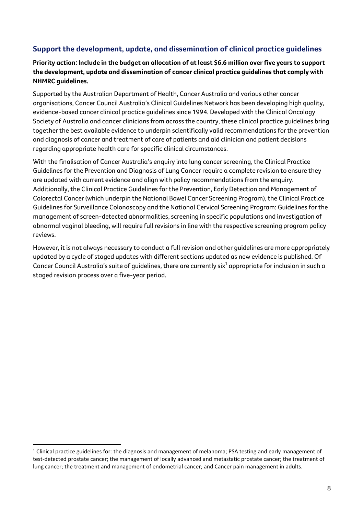## **Support the development, update, and dissemination of clinical practice guidelines**

#### **Priority action: Include in the budget an allocation of at least \$6.6 million over five years to support the development, update and dissemination of cancer clinical practice guidelines that comply with NHMRC guidelines.**

Supported by the Australian Department of Health, Cancer Australia and various other cancer organisations, Cancer Council Australia's Clinical Guidelines Network has been developing high quality, evidence-based cancer clinical practice guidelines since 1994. Developed with the Clinical Oncology Society of Australia and cancer clinicians from across the country, these clinical practice guidelines bring together the best available evidence to underpin scientifically valid recommendations for the prevention and diagnosis of cancer and treatment of care of patients and aid clinician and patient decisions regarding appropriate health care for specific clinical circumstances.

With the finalisation of Cancer Australia's enquiry into lung cancer screening, the Clinical Practice Guidelines for the Prevention and Diagnosis of Lung Cancer require a complete revision to ensure they are updated with current evidence and align with policy recommendations from the enquiry. Additionally, the Clinical Practice Guidelines for the Prevention, Early Detection and Management of Colorectal Cancer (which underpin the National Bowel Cancer Screening Program), the Clinical Practice Guidelines for Surveillance Colonoscopy and the National Cervical Screening Program: Guidelines for the management of screen-detected abnormalities, screening in specific populations and investigation of abnormal vaginal bleeding, will require full revisions in line with the respective screening program policy reviews.

However, it is not always necessary to conduct a full revision and other guidelines are more appropriately updated by a cycle of staged updates with different sections updated as new evidence is published. Of Cancer Council Australia's suite of guidelines, there are currently six $^1$  appropriate for inclusion in such a staged revision process over a five-year period.

 $1$  Clinical practice guidelines for: the diagnosis and management of melanoma; PSA testing and early management of test-detected prostate cancer; the management of locally advanced and metastatic prostate cancer; the treatment of lung cancer; the treatment and management of endometrial cancer; and Cancer pain management in adults.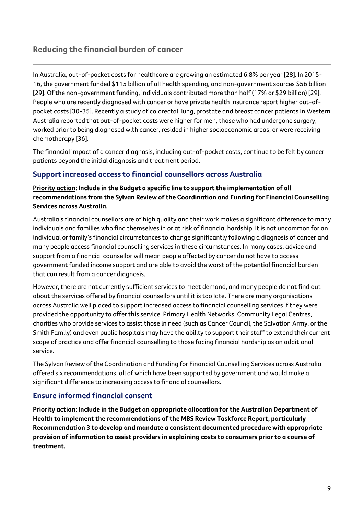## **Reducing the financial burden of cancer**

In Australia, out-of-pocket costs for healthcare are growing an estimated 6.8% per year [28]. In 2015- 16, the government funded \$115 billion of all health spending, and non-government sources \$56 billion [29]. Of the non-government funding, individuals contributed more than half (17% or \$29 billion) [29]. People who are recently diagnosed with cancer or have private health insurance report higher out-ofpocket costs [30-35]. Recently a study of colorectal, lung, prostate and breast cancer patients in Western Australia reported that out-of-pocket costs were higher for men, those who had undergone surgery, worked prior to being diagnosed with cancer, resided in higher socioeconomic areas, or were receiving chemotherapy [36].

The financial impact of a cancer diagnosis, including out-of-pocket costs, continue to be felt by cancer patients beyond the initial diagnosis and treatment period.

### **Support increased access to financial counsellors across Australia**

**Priority action: Include in the Budget a specific line to support the implementation of all recommendations from the Sylvan Review of the Coordination and Funding for Financial Counselling Services across Australia.**

Australia's financial counsellors are of high quality and their work makes a significant difference to many individuals and families who find themselves in or at risk of financial hardship. It is not uncommon for an individual or family's financial circumstances to change significantly following a diagnosis of cancer and many people access financial counselling services in these circumstances. In many cases, advice and support from a financial counsellor will mean people affected by cancer do not have to access government funded income support and are able to avoid the worst of the potential financial burden that can result from a cancer diagnosis.

However, there are not currently sufficient services to meet demand, and many people do not find out about the services offered by financial counsellors until it is too late. There are many organisations across Australia well placed to support increased access to financial counselling services if they were provided the opportunity to offer this service. Primary Health Networks, Community Legal Centres, charities who provide services to assist those in need (such as Cancer Council, the Salvation Army, or the Smith Family) and even public hospitals may have the ability to support their staff to extend their current scope of practice and offer financial counselling to those facing financial hardship as an additional service.

The Sylvan Review of the Coordination and Funding for Financial Counselling Services across Australia offered six recommendations, all of which have been supported by government and would make a significant difference to increasing access to financial counsellors.

### **Ensure informed financial consent**

**Priority action: Include in the Budget an appropriate allocation for the Australian Department of Health to implement the recommendations of the MBS Review Taskforce Report, particularly Recommendation 3 to develop and mandate a consistent documented procedure with appropriate provision of information to assist providers in explaining costs to consumers prior to a course of treatment.**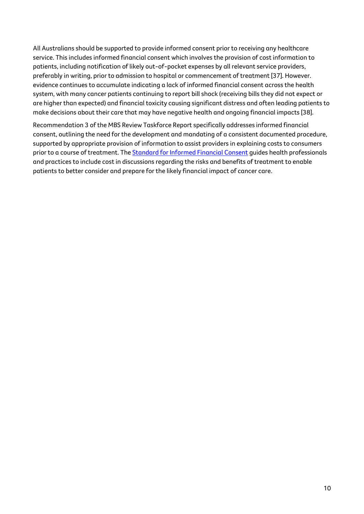All Australians should be supported to provide informed consent prior to receiving any healthcare service. This includes informed financial consent which involves the provision of cost information to patients, including notification of likely out-of-pocket expenses by all relevant service providers, preferably in writing, prior to admission to hospital or commencement of treatment [37]. However. evidence continues to accumulate indicating a lack of informed financial consent across the health system, with many cancer patients continuing to report bill shock (receiving bills they did not expect or are higher than expected) and financial toxicity causing significant distress and often leading patients to make decisions about their care that may have negative health and ongoing financial impacts [38].

Recommendation 3 of the MBS Review Taskforce Report specifically addresses informed financial consent, outlining the need for the development and mandating of a consistent documented procedure, supported by appropriate provision of information to assist providers in explaining costs to consumers prior to a course of treatment. Th[e Standard for Informed Financial Consent](https://www.cancer.org.au/health-professionals/resources/informed-financial-consent) guides health professionals and practices to include cost in discussions regarding the risks and benefits of treatment to enable patients to better consider and prepare for the likely financial impact of cancer care.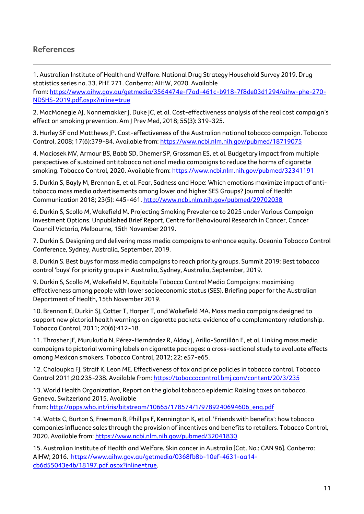## **References**

1. Australian Institute of Health and Welfare. National Drug Strategy Household Survey 2019. Drug statistics series no. 33. PHE 271. Canberra: AIHW, 2020. Available from: [https://www.aihw.gov.au/getmedia/3564474e-f7ad-461c-b918-7f8de03d1294/aihw-phe-270-](https://www.aihw.gov.au/getmedia/3564474e-f7ad-461c-b918-7f8de03d1294/aihw-phe-270-NDSHS-2019.pdf.aspx?inline=true) [NDSHS-2019.pdf.aspx?inline=true](https://www.aihw.gov.au/getmedia/3564474e-f7ad-461c-b918-7f8de03d1294/aihw-phe-270-NDSHS-2019.pdf.aspx?inline=true)

2. MacMonegle AJ, Nonnemakker J, Duke JC, et al. Cost-effectiveness analysis of the real cost campaign's effect on smoking prevention. Am J Prev Med, 2018; 55(3): 319-325.

3. Hurley SF and Matthews JP. Cost-effectiveness of the Australian national tobacco campaign. Tobacco Control, 2008; 17(6):379-84. Available from: <https://www.ncbi.nlm.nih.gov/pubmed/18719075>

4. Maciosek MV, Armour BS, Babb SD, Dhemer SP, Grossman ES, et al. Budgetary impact from multiple perspectives of sustained antitobacco national media campaigns to reduce the harms of cigarette smoking. Tobacco Control, 2020. Available from[: https://www.ncbi.nlm.nih.gov/pubmed/32341191](https://www.ncbi.nlm.nih.gov/pubmed/32341191)

5. Durkin S, Bayly M, Brennan E, et al. Fear, Sadness and Hope: Which emotions maximize impact of antitobacco mass media advertisements among lower and higher SES Groups? Journal of Health Communication 2018; 23(5): 445-461. <http://www.ncbi.nlm.nih.gov/pubmed/29702038>

6. Durkin S, Scollo M, Wakefield M. Projecting Smoking Prevalence to 2025 under Various Campaign Investment Options. Unpublished Brief Report, Centre for Behavioural Research in Cancer, Cancer Council Victoria, Melbourne, 15th November 2019.

7. Durkin S. Designing and delivering mass media campaigns to enhance equity. Oceania Tobacco Control Conference, Sydney, Australia, September, 2019.

8. Durkin S. Best buys for mass media campaigns to reach priority groups. Summit 2019: Best tobacco control 'buys' for priority groups in Australia, Sydney, Australia, September, 2019.

9. Durkin S, Scollo M, Wakefield M. Equitable Tobacco Control Media Campaigns: maximising effectiveness among people with lower socioeconomic status (SES). Briefing paper for the Australian Department of Health, 15th November 2019.

10. Brennan E, Durkin SJ, Cotter T, Harper T, and Wakefield MA. Mass media campaigns designed to support new pictorial health warnings on cigarette packets: evidence of a complementary relationship. Tobacco Control, 2011; 20(6):412-18.

11. Thrasher JF, Murukutla N, Pérez-Hernández R, Alday J, Arillo-Santillán E, et al. Linking mass media campaigns to pictorial warning labels on cigarette packages: a cross-sectional study to evaluate effects among Mexican smokers. Tobacco Control, 2012; 22: e57-e65.

12. Chaloupka FJ, Straif K, Leon ME. Effectiveness of tax and price policies in tobacco control. Tobacco Control 2011;20:235-238. Available from: <https://tobaccocontrol.bmj.com/content/20/3/235>

13. World Health Organization, Report on the global tobacco epidemic: Raising taxes on tobacco. Geneva, Switzerland 2015. Available

from: [http://apps.who.int/iris/bitstream/10665/178574/1/9789240694606\\_eng.pdf](http://apps.who.int/iris/bitstream/10665/178574/1/9789240694606_eng.pdf) 

14. Watts C, Burton S, Freeman B, Phillips F, Kennington K, et al. 'Friends with benefits': how tobacco companies influence sales through the provision of incentives and benefits to retailers. Tobacco Control, 2020. Available from:<https://www.ncbi.nlm.nih.gov/pubmed/32041830>

15. Australian Institute of Health and Welfare. Skin cancer in Australia [Cat. No.: CAN 96]. Canberra: AIHW; 2016. [https://www.aihw.gov.au/getmedia/0368fb8b-10ef-4631-aa14](https://www.aihw.gov.au/getmedia/0368fb8b-10ef-4631-aa14-cb6d55043e4b/18197.pdf.aspx?inline=true) [cb6d55043e4b/18197.pdf.aspx?inline=true.](https://www.aihw.gov.au/getmedia/0368fb8b-10ef-4631-aa14-cb6d55043e4b/18197.pdf.aspx?inline=true)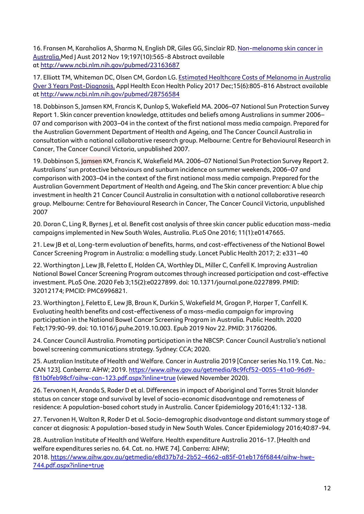16. Fransen M, Karahalios A, Sharma N, English DR, Giles GG, Sinclair RD. [Non-melanoma skin cancer in](https://wiki.cancer.org.au/policy/Citation:Fransen_M,_Karahalios_A,_Sharma_N,_English_DR,_Giles_GG,_Sinclair_RD_2012)  [Australia.M](https://wiki.cancer.org.au/policy/Citation:Fransen_M,_Karahalios_A,_Sharma_N,_English_DR,_Giles_GG,_Sinclair_RD_2012)ed J Aust 2012 Nov 19;197(10):565-8 Abstract available at <http://www.ncbi.nlm.nih.gov/pubmed/23163687>

17. Elliott TM, Whiteman DC, Olsen CM, Gordon LG. [Estimated Healthcare Costs of Melanoma in Australia](https://wiki.cancer.org.au/policy/Citation:Elliott_TM,_Whiteman_DC,_Olsen_CM,_Gordon_LG_2017)  Over 3 [Years Post-Diagnosis.](https://wiki.cancer.org.au/policy/Citation:Elliott_TM,_Whiteman_DC,_Olsen_CM,_Gordon_LG_2017) Appl Health Econ Health Policy 2017 Dec;15(6):805-816 Abstract available at <http://www.ncbi.nlm.nih.gov/pubmed/28756584>

18. Dobbinson S, Jamsen KM, Francis K, Dunlop S, Wakefield MA. 2006–07 National Sun Protection Survey Report 1. Skin cancer prevention knowledge, attitudes and beliefs among Australians in summer 2006– 07 and comparison with 2003–04 in the context of the first national mass media campaign. Prepared for the Australian Government Department of Health and Ageing, and The Cancer Council Australia in consultation with a national collaborative research group. Melbourne: Centre for Behavioural Research in Cancer, The Cancer Council Victoria, unpublished 2007.

19. Dobbinson S, Jamsen KM, Francis K, Wakefield MA. 2006–07 National Sun Protection Survey Report 2. Australians' sun protective behaviours and sunburn incidence on summer weekends, 2006–07 and comparison with 2003–04 in the context of the first national mass media campaign. Prepared for the Australian Government Department of Health and Ageing, and The Skin cancer prevention: A blue chip investment in health 21 Cancer Council Australia in consultation with a national collaborative research group. Melbourne: Centre for Behavioural Research in Cancer, The Cancer Council Victoria, unpublished 2007

20. Doran C, Ling R, Byrnes J, et al. Benefit cost analysis of three skin cancer public education mass-media campaigns implemented in New South Wales, Australia. PLoS One 2016; 11(1):e0147665.

21. Lew JB et al, Long-term evaluation of benefits, harms, and cost-effectiveness of the National Bowel Cancer Screening Program in Australia: a modelling study. Lancet Public Health 2017; 2: e331–40

22. Worthington J, Lew JB, Feletto E, Holden CA, Worthley DL, Miller C, Canfell K. Improving Australian National Bowel Cancer Screening Program outcomes through increased participation and cost-effective investment. PLoS One. 2020 Feb 3;15(2):e0227899. doi: 10.1371/journal.pone.0227899. PMID: 32012174; PMCID: PMC6996821.

23. Worthington J, Feletto E, Lew JB, Broun K, Durkin S, Wakefield M, Grogan P, Harper T, Canfell K. Evaluating health benefits and cost-effectiveness of a mass-media campaign for improving participation in the National Bowel Cancer Screening Program in Australia. Public Health. 2020 Feb;179:90-99. doi: 10.1016/j.puhe.2019.10.003. Epub 2019 Nov 22. PMID: 31760206.

24. Cancer Council Australia. Promoting participation in the NBCSP: Cancer Council Australia's national bowel screening communications strategy. Sydney: CCA; 2020.

25. Australian Institute of Health and Welfare. Cancer in Australia 2019 [Cancer series No.119. Cat. No.: CAN 123]. Canberra: AIHW; 2019[. https://www.aihw.gov.au/getmedia/8c9fcf52-0055-41a0-96d9](https://www.aihw.gov.au/getmedia/8c9fcf52-0055-41a0-96d9-f81b0feb98cf/aihw-can-123.pdf.aspx?inline=true) [f81b0feb98cf/aihw-can-123.pdf.aspx?inline=true](https://www.aihw.gov.au/getmedia/8c9fcf52-0055-41a0-96d9-f81b0feb98cf/aihw-can-123.pdf.aspx?inline=true) (viewed November 2020).

26. Tervonen H, Aranda S, Roder D et al. Differences in impact of Aboriginal and Torres Strait Islander status on cancer stage and survival by level of socio-economic disadvantage and remoteness of residence: A population-based cohort study in Australia. Cancer Epidemiology 2016;41:132-138.

27. Tervonen H, Walton R, Roder D et al. Socio-demographic disadvantage and distant summary stage of cancer at diagnosis: A population-based study in New South Wales. Cancer Epidemiology 2016;40:87-94.

28. Australian Institute of Health and Welfare. Health expenditure Australia 2016-17. [Health and welfare expenditures series no. 64. Cat. no. HWE 74]. Canberra: AIHW; 2018. [https://www.aihw.gov.au/getmedia/e8d37b7d-2b52-4662-a85f-01eb176f6844/aihw-hwe-](https://www.aihw.gov.au/getmedia/e8d37b7d-2b52-4662-a85f-01eb176f6844/aihw-hwe-744.pdf.aspx?inline=true)[744.pdf.aspx?inline=true](https://www.aihw.gov.au/getmedia/e8d37b7d-2b52-4662-a85f-01eb176f6844/aihw-hwe-744.pdf.aspx?inline=true)